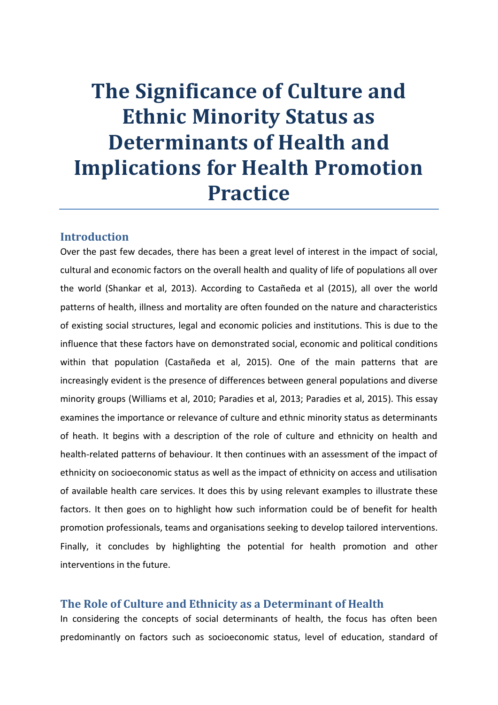# **The Significance of Culture and Ethnic Minority Status as Determinants of Health and Implications for Health Promotion Practice**

## **Introduction**

Over the past few decades, there has been a great level of interest in the impact of social, cultural and economic factors on the overall health and quality of life of populations all over the world (Shankar et al, 2013). According to Castañeda et al (2015), all over the world patterns of health, illness and mortality are often founded on the nature and characteristics of existing social structures, legal and economic policies and institutions. This is due to the influence that these factors have on demonstrated social, economic and political conditions within that population (Castañeda et al, 2015). One of the main patterns that are increasingly evident is the presence of differences between general populations and diverse minority groups (Williams et al, 2010; Paradies et al, 2013; Paradies et al, 2015). This essay examines the importance or relevance of culture and ethnic minority status as determinants of heath. It begins with a description of the role of culture and ethnicity on health and health-related patterns of behaviour. It then continues with an assessment of the impact of ethnicity on socioeconomic status as well as the impact of ethnicity on access and utilisation of available health care services. It does this by using relevant examples to illustrate these factors. It then goes on to highlight how such information could be of benefit for health promotion professionals, teams and organisations seeking to develop tailored interventions. Finally, it concludes by highlighting the potential for health promotion and other interventions in the future.

#### **The Role of Culture and Ethnicity as a Determinant of Health**

In considering the concepts of social determinants of health, the focus has often been predominantly on factors such as socioeconomic status, level of education, standard of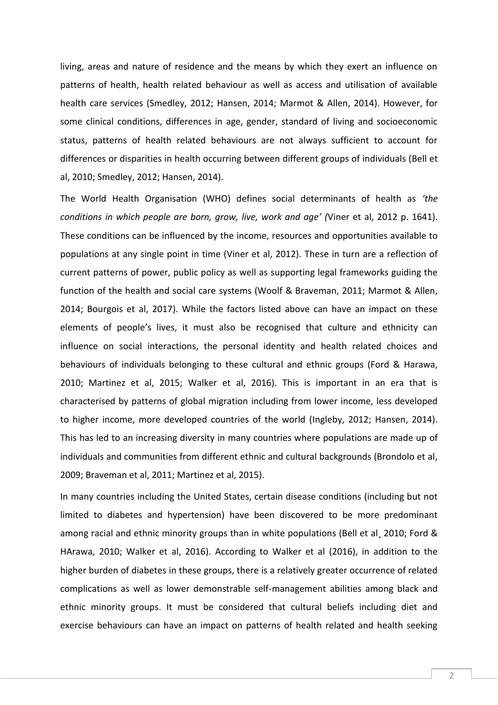living, areas and nature of residence and the means by which they exert an influence on patterns of health, health related behaviour as well as access and utilisation of available health care services (Smedley, 2012; Hansen, 2014; Marmot & Allen, 2014). However, for some clinical conditions, differences in age, gender, standard of living and socioeconomic status, patterns of health related behaviours are not always sufficient to account for differences or disparities in health occurring between different groups of individuals (Bell et al, 2010; Smedley, 2012; Hansen, 2014).

The World Health Organisation (WHO) defines social determinants of health as *'the conditions in which people are born, grow, live, work and age' (*Viner et al, 2012 p. 1641). These conditions can be influenced by the income, resources and opportunities available to populations at any single point in time (Viner et al, 2012). These in turn are a reflection of current patterns of power, public policy as well as supporting legal frameworks guiding the function of the health and social care systems (Woolf & Braveman, 2011; Marmot & Allen, 2014; Bourgois et al, 2017). While the factors listed above can have an impact on these elements of people's lives, it must also be recognised that culture and ethnicity can influence on social interactions, the personal identity and health related choices and behaviours of individuals belonging to these cultural and ethnic groups (Ford & Harawa, 2010; Martinez et al, 2015; Walker et al, 2016). This is important in an era that is characterised by patterns of global migration including from lower income, less developed to higher income, more developed countries of the world (Ingleby, 2012; Hansen, 2014). This has led to an increasing diversity in many countries where populations are made up of individuals and communities from different ethnic and cultural backgrounds (Brondolo et al, 2009; Braveman et al, 2011; Martinez et al, 2015).

In many countries including the United States, certain disease conditions (including but not limited to diabetes and hypertension) have been discovered to be more predominant among racial and ethnic minority groups than in white populations (Bell et al¸ 2010; Ford & HArawa, 2010; Walker et al, 2016). According to Walker et al (2016), in addition to the higher burden of diabetes in these groups, there is a relatively greater occurrence of related complications as well as lower demonstrable self-management abilities among black and ethnic minority groups. It must be considered that cultural beliefs including diet and exercise behaviours can have an impact on patterns of health related and health seeking

2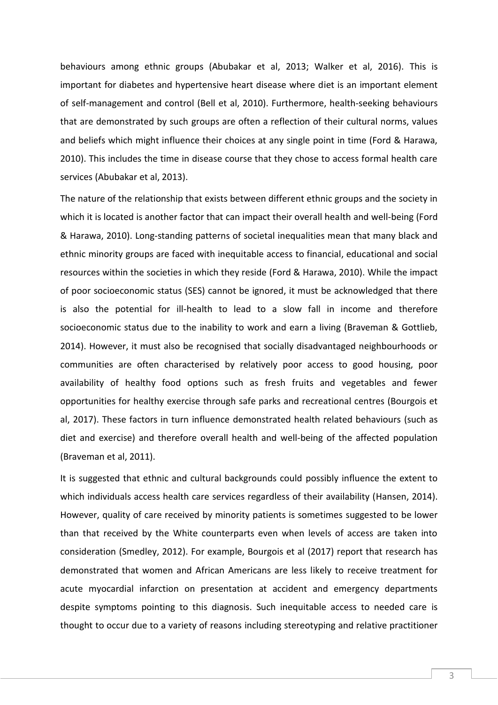behaviours among ethnic groups (Abubakar et al, 2013; Walker et al, 2016). This is important for diabetes and hypertensive heart disease where diet is an important element of self-management and control (Bell et al, 2010). Furthermore, health-seeking behaviours that are demonstrated by such groups are often a reflection of their cultural norms, values and beliefs which might influence their choices at any single point in time (Ford & Harawa, 2010). This includes the time in disease course that they chose to access formal health care services (Abubakar et al, 2013).

The nature of the relationship that exists between different ethnic groups and the society in which it is located is another factor that can impact their overall health and well-being (Ford & Harawa, 2010). Long-standing patterns of societal inequalities mean that many black and ethnic minority groups are faced with inequitable access to financial, educational and social resources within the societies in which they reside (Ford & Harawa, 2010). While the impact of poor socioeconomic status (SES) cannot be ignored, it must be acknowledged that there is also the potential for ill-health to lead to a slow fall in income and therefore socioeconomic status due to the inability to work and earn a living (Braveman & Gottlieb, 2014). However, it must also be recognised that socially disadvantaged neighbourhoods or communities are often characterised by relatively poor access to good housing, poor availability of healthy food options such as fresh fruits and vegetables and fewer opportunities for healthy exercise through safe parks and recreational centres (Bourgois et al, 2017). These factors in turn influence demonstrated health related behaviours (such as diet and exercise) and therefore overall health and well-being of the affected population (Braveman et al, 2011).

It is suggested that ethnic and cultural backgrounds could possibly influence the extent to which individuals access health care services regardless of their availability (Hansen, 2014). However, quality of care received by minority patients is sometimes suggested to be lower than that received by the White counterparts even when levels of access are taken into consideration (Smedley, 2012). For example, Bourgois et al (2017) report that research has demonstrated that women and African Americans are less likely to receive treatment for acute myocardial infarction on presentation at accident and emergency departments despite symptoms pointing to this diagnosis. Such inequitable access to needed care is thought to occur due to a variety of reasons including stereotyping and relative practitioner

3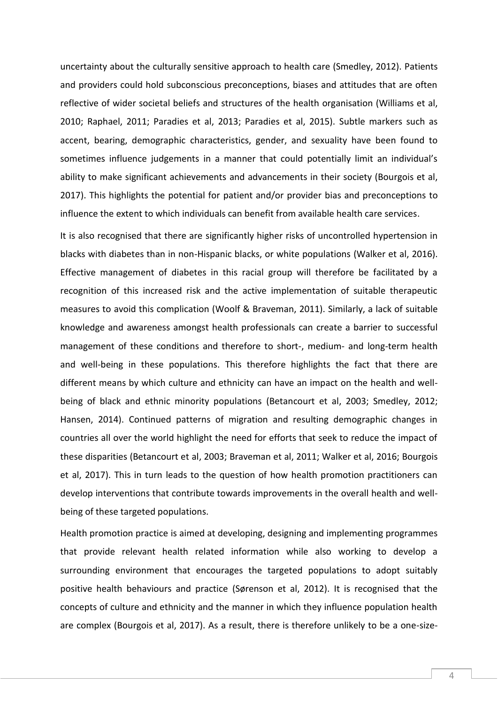uncertainty about the culturally sensitive approach to health care (Smedley, 2012). Patients and providers could hold subconscious preconceptions, biases and attitudes that are often reflective of wider societal beliefs and structures of the health organisation (Williams et al, 2010; Raphael, 2011; Paradies et al, 2013; Paradies et al, 2015). Subtle markers such as accent, bearing, demographic characteristics, gender, and sexuality have been found to sometimes influence judgements in a manner that could potentially limit an individual's ability to make significant achievements and advancements in their society (Bourgois et al, 2017). This highlights the potential for patient and/or provider bias and preconceptions to influence the extent to which individuals can benefit from available health care services.

It is also recognised that there are significantly higher risks of uncontrolled hypertension in blacks with diabetes than in non-Hispanic blacks, or white populations (Walker et al, 2016). Effective management of diabetes in this racial group will therefore be facilitated by a recognition of this increased risk and the active implementation of suitable therapeutic measures to avoid this complication (Woolf & Braveman, 2011). Similarly, a lack of suitable knowledge and awareness amongst health professionals can create a barrier to successful management of these conditions and therefore to short-, medium- and long-term health and well-being in these populations. This therefore highlights the fact that there are different means by which culture and ethnicity can have an impact on the health and wellbeing of black and ethnic minority populations (Betancourt et al, 2003; Smedley, 2012; Hansen, 2014). Continued patterns of migration and resulting demographic changes in countries all over the world highlight the need for efforts that seek to reduce the impact of these disparities (Betancourt et al, 2003; Braveman et al, 2011; Walker et al, 2016; Bourgois et al, 2017). This in turn leads to the question of how health promotion practitioners can develop interventions that contribute towards improvements in the overall health and wellbeing of these targeted populations.

Health promotion practice is aimed at developing, designing and implementing programmes that provide relevant health related information while also working to develop a surrounding environment that encourages the targeted populations to adopt suitably positive health behaviours and practice (Sørenson et al, 2012). It is recognised that the concepts of culture and ethnicity and the manner in which they influence population health are complex (Bourgois et al, 2017). As a result, there is therefore unlikely to be a one-size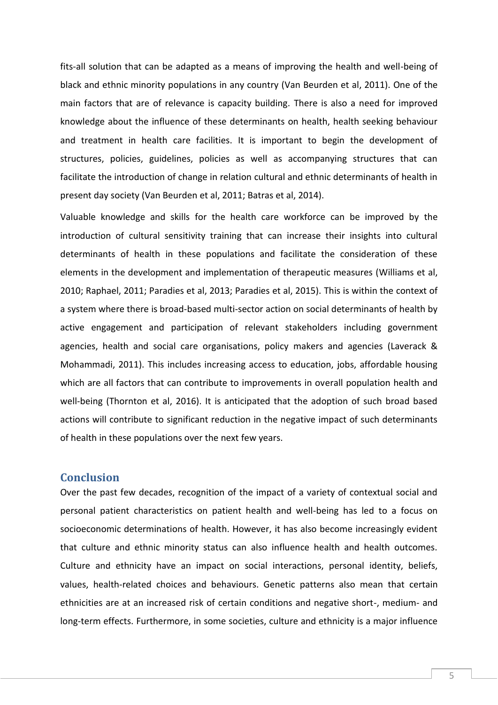fits-all solution that can be adapted as a means of improving the health and well-being of black and ethnic minority populations in any country (Van Beurden et al, 2011). One of the main factors that are of relevance is capacity building. There is also a need for improved knowledge about the influence of these determinants on health, health seeking behaviour and treatment in health care facilities. It is important to begin the development of structures, policies, guidelines, policies as well as accompanying structures that can facilitate the introduction of change in relation cultural and ethnic determinants of health in present day society (Van Beurden et al, 2011; Batras et al, 2014).

Valuable knowledge and skills for the health care workforce can be improved by the introduction of cultural sensitivity training that can increase their insights into cultural determinants of health in these populations and facilitate the consideration of these elements in the development and implementation of therapeutic measures (Williams et al, 2010; Raphael, 2011; Paradies et al, 2013; Paradies et al, 2015). This is within the context of a system where there is broad-based multi-sector action on social determinants of health by active engagement and participation of relevant stakeholders including government agencies, health and social care organisations, policy makers and agencies (Laverack & Mohammadi, 2011). This includes increasing access to education, jobs, affordable housing which are all factors that can contribute to improvements in overall population health and well-being (Thornton et al, 2016). It is anticipated that the adoption of such broad based actions will contribute to significant reduction in the negative impact of such determinants of health in these populations over the next few years.

#### **Conclusion**

Over the past few decades, recognition of the impact of a variety of contextual social and personal patient characteristics on patient health and well-being has led to a focus on socioeconomic determinations of health. However, it has also become increasingly evident that culture and ethnic minority status can also influence health and health outcomes. Culture and ethnicity have an impact on social interactions, personal identity, beliefs, values, health-related choices and behaviours. Genetic patterns also mean that certain ethnicities are at an increased risk of certain conditions and negative short-, medium- and long-term effects. Furthermore, in some societies, culture and ethnicity is a major influence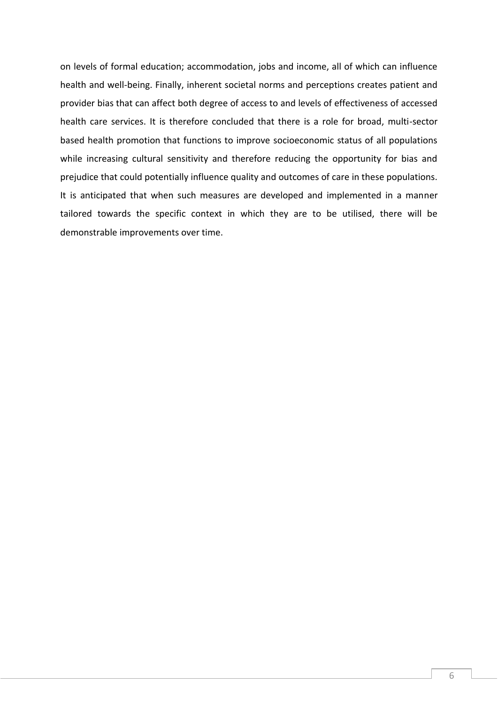on levels of formal education; accommodation, jobs and income, all of which can influence health and well-being. Finally, inherent societal norms and perceptions creates patient and provider bias that can affect both degree of access to and levels of effectiveness of accessed health care services. It is therefore concluded that there is a role for broad, multi-sector based health promotion that functions to improve socioeconomic status of all populations while increasing cultural sensitivity and therefore reducing the opportunity for bias and prejudice that could potentially influence quality and outcomes of care in these populations. It is anticipated that when such measures are developed and implemented in a manner tailored towards the specific context in which they are to be utilised, there will be demonstrable improvements over time.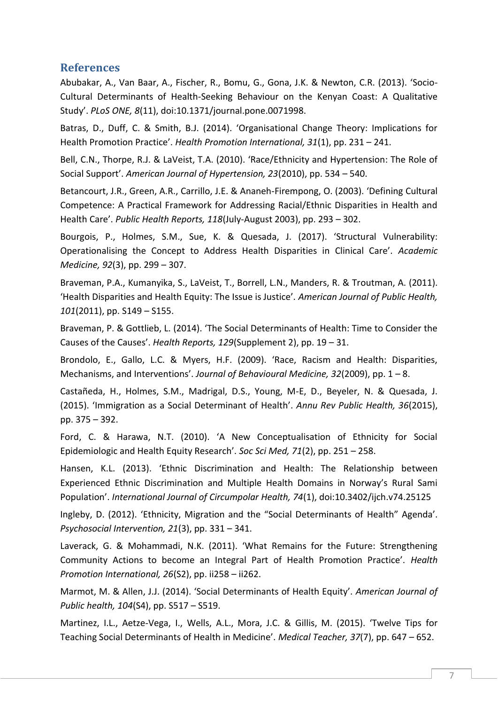### **References**

Abubakar, A., Van Baar, A., Fischer, R., Bomu, G., Gona, J.K. & Newton, C.R. (2013). 'Socio-Cultural Determinants of Health-Seeking Behaviour on the Kenyan Coast: A Qualitative Study'. *PLoS ONE, 8*(11), doi:10.1371/journal.pone.0071998.

Batras, D., Duff, C. & Smith, B.J. (2014). 'Organisational Change Theory: Implications for Health Promotion Practice'. *Health Promotion International, 31*(1), pp. 231 – 241.

Bell, C.N., Thorpe, R.J. & LaVeist, T.A. (2010). 'Race/Ethnicity and Hypertension: The Role of Social Support'. *American Journal of Hypertension, 23*(2010), pp. 534 – 540.

Betancourt, J.R., Green, A.R., Carrillo, J.E. & Ananeh-Firempong, O. (2003). 'Defining Cultural Competence: A Practical Framework for Addressing Racial/Ethnic Disparities in Health and Health Care'. *Public Health Reports, 118*(July-August 2003), pp. 293 – 302.

Bourgois, P., Holmes, S.M., Sue, K. & Quesada, J. (2017). 'Structural Vulnerability: Operationalising the Concept to Address Health Disparities in Clinical Care'. *Academic Medicine, 92*(3), pp. 299 – 307.

Braveman, P.A., Kumanyika, S., LaVeist, T., Borrell, L.N., Manders, R. & Troutman, A. (2011). 'Health Disparities and Health Equity: The Issue is Justice'. *American Journal of Public Health, 101*(2011), pp. S149 – S155.

Braveman, P. & Gottlieb, L. (2014). 'The Social Determinants of Health: Time to Consider the Causes of the Causes'. *Health Reports, 129*(Supplement 2), pp. 19 – 31.

Brondolo, E., Gallo, L.C. & Myers, H.F. (2009). 'Race, Racism and Health: Disparities, Mechanisms, and Interventions'. *Journal of Behavioural Medicine, 32*(2009), pp. 1 – 8.

Castañeda, H., Holmes, S.M., Madrigal, D.S., Young, M-E, D., Beyeler, N. & Quesada, J. (2015). 'Immigration as a Social Determinant of Health'. *Annu Rev Public Health, 36*(2015), pp. 375 – 392.

Ford, C. & Harawa, N.T. (2010). 'A New Conceptualisation of Ethnicity for Social Epidemiologic and Health Equity Research'. *Soc Sci Med, 71*(2), pp. 251 – 258.

Hansen, K.L. (2013). 'Ethnic Discrimination and Health: The Relationship between Experienced Ethnic Discrimination and Multiple Health Domains in Norway's Rural Sami Population'. *International Journal of Circumpolar Health, 74*(1), doi:10.3402/ijch.v74.25125

Ingleby, D. (2012). 'Ethnicity, Migration and the "Social Determinants of Health" Agenda'. *Psychosocial Intervention, 21*(3), pp. 331 – 341.

Laverack, G. & Mohammadi, N.K. (2011). 'What Remains for the Future: Strengthening Community Actions to become an Integral Part of Health Promotion Practice'. *Health Promotion International, 26*(S2), pp. ii258 – ii262.

Marmot, M. & Allen, J.J. (2014). 'Social Determinants of Health Equity'. *American Journal of Public health, 104*(S4), pp. S517 – S519.

Martinez, I.L., Aetze-Vega, I., Wells, A.L., Mora, J.C. & Gillis, M. (2015). 'Twelve Tips for Teaching Social Determinants of Health in Medicine'. *Medical Teacher, 37*(7), pp. 647 – 652.